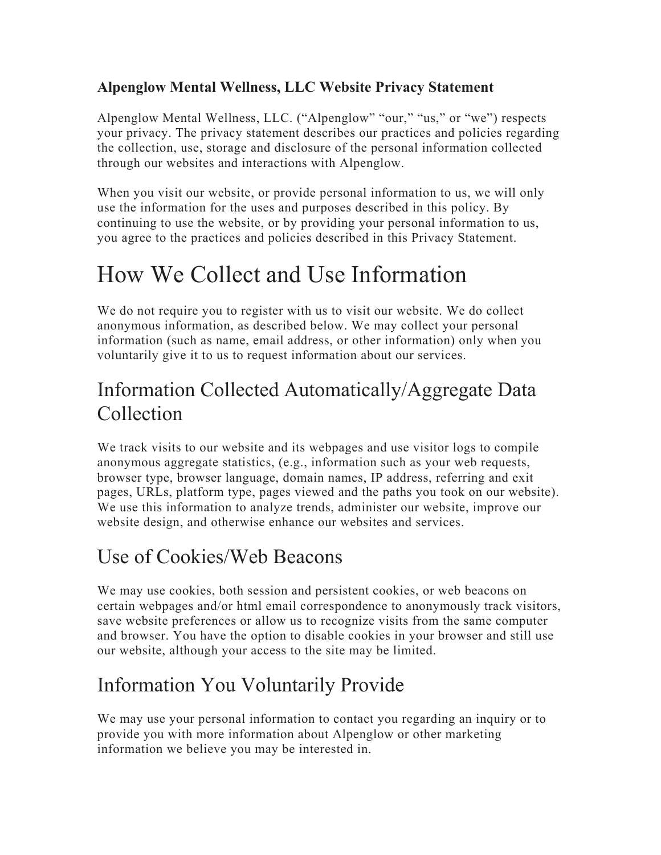#### **Alpenglow Mental Wellness, LLC Website Privacy Statement**

Alpenglow Mental Wellness, LLC. ("Alpenglow" "our," "us," or "we") respects your privacy. The privacy statement describes our practices and policies regarding the collection, use, storage and disclosure of the personal information collected through our websites and interactions with Alpenglow.

When you visit our website, or provide personal information to us, we will only use the information for the uses and purposes described in this policy. By continuing to use the website, or by providing your personal information to us, you agree to the practices and policies described in this Privacy Statement.

### How We Collect and Use Information

We do not require you to register with us to visit our website. We do collect anonymous information, as described below. We may collect your personal information (such as name, email address, or other information) only when you voluntarily give it to us to request information about our services.

#### Information Collected Automatically/Aggregate Data Collection

We track visits to our website and its webpages and use visitor logs to compile anonymous aggregate statistics, (e.g., information such as your web requests, browser type, browser language, domain names, IP address, referring and exit pages, URLs, platform type, pages viewed and the paths you took on our website). We use this information to analyze trends, administer our website, improve our website design, and otherwise enhance our websites and services.

#### Use of Cookies/Web Beacons

We may use cookies, both session and persistent cookies, or web beacons on certain webpages and/or html email correspondence to anonymously track visitors, save website preferences or allow us to recognize visits from the same computer and browser. You have the option to disable cookies in your browser and still use our website, although your access to the site may be limited.

#### Information You Voluntarily Provide

We may use your personal information to contact you regarding an inquiry or to provide you with more information about Alpenglow or other marketing information we believe you may be interested in.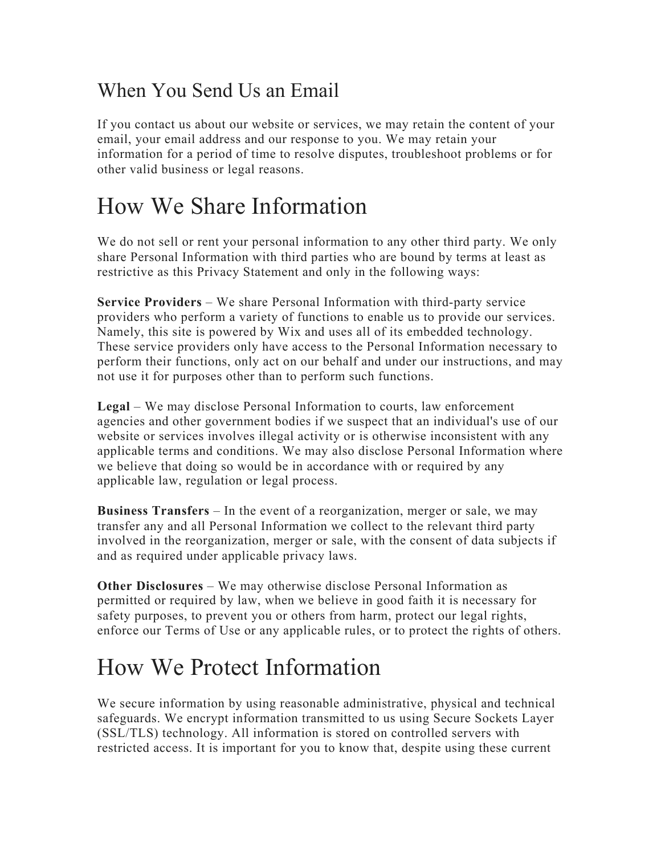#### When You Send Us an Email

If you contact us about our website or services, we may retain the content of your email, your email address and our response to you. We may retain your information for a period of time to resolve disputes, troubleshoot problems or for other valid business or legal reasons.

### How We Share Information

We do not sell or rent your personal information to any other third party. We only share Personal Information with third parties who are bound by terms at least as restrictive as this Privacy Statement and only in the following ways:

**Service Providers** – We share Personal Information with third-party service providers who perform a variety of functions to enable us to provide our services. Namely, this site is powered by Wix and uses all of its embedded technology. These service providers only have access to the Personal Information necessary to perform their functions, only act on our behalf and under our instructions, and may not use it for purposes other than to perform such functions.

**Legal** – We may disclose Personal Information to courts, law enforcement agencies and other government bodies if we suspect that an individual's use of our website or services involves illegal activity or is otherwise inconsistent with any applicable terms and conditions. We may also disclose Personal Information where we believe that doing so would be in accordance with or required by any applicable law, regulation or legal process.

**Business Transfers** – In the event of a reorganization, merger or sale, we may transfer any and all Personal Information we collect to the relevant third party involved in the reorganization, merger or sale, with the consent of data subjects if and as required under applicable privacy laws.

**Other Disclosures** – We may otherwise disclose Personal Information as permitted or required by law, when we believe in good faith it is necessary for safety purposes, to prevent you or others from harm, protect our legal rights, enforce our Terms of Use or any applicable rules, or to protect the rights of others.

### How We Protect Information

We secure information by using reasonable administrative, physical and technical safeguards. We encrypt information transmitted to us using Secure Sockets Layer (SSL/TLS) technology. All information is stored on controlled servers with restricted access. It is important for you to know that, despite using these current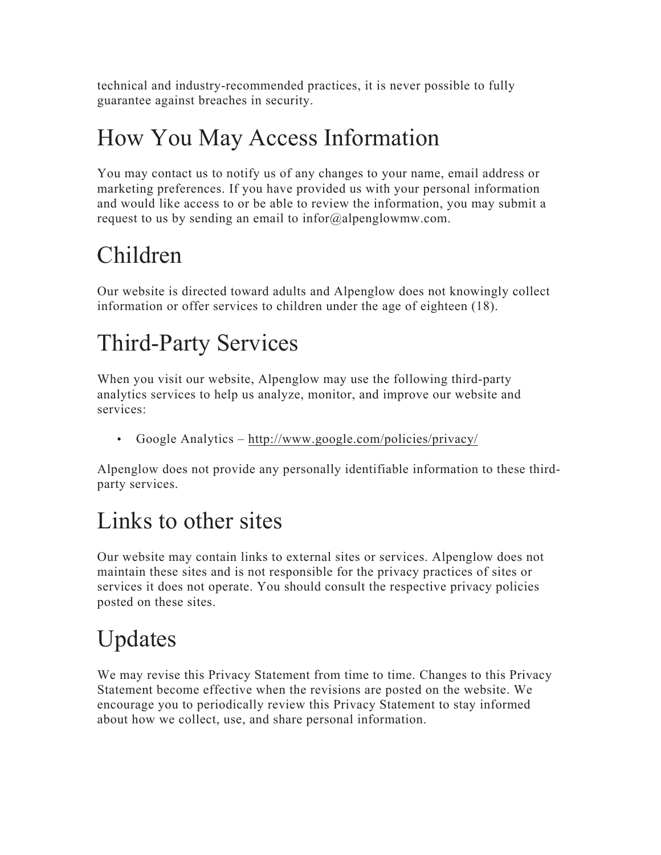technical and industry-recommended practices, it is never possible to fully guarantee against breaches in security.

## How You May Access Information

You may contact us to notify us of any changes to your name, email address or marketing preferences. If you have provided us with your personal information and would like access to or be able to review the information, you may submit a request to us by sending an email to infor@alpenglowmw.com.

## Children

Our website is directed toward adults and Alpenglow does not knowingly collect information or offer services to children under the age of eighteen (18).

## Third-Party Services

When you visit our website, Alpenglow may use the following third-party analytics services to help us analyze, monitor, and improve our website and services:

• Google Analytics – http://www.google.com/policies/privacy/

Alpenglow does not provide any personally identifiable information to these thirdparty services.

## Links to other sites

Our website may contain links to external sites or services. Alpenglow does not maintain these sites and is not responsible for the privacy practices of sites or services it does not operate. You should consult the respective privacy policies posted on these sites.

# Updates

We may revise this Privacy Statement from time to time. Changes to this Privacy Statement become effective when the revisions are posted on the website. We encourage you to periodically review this Privacy Statement to stay informed about how we collect, use, and share personal information.